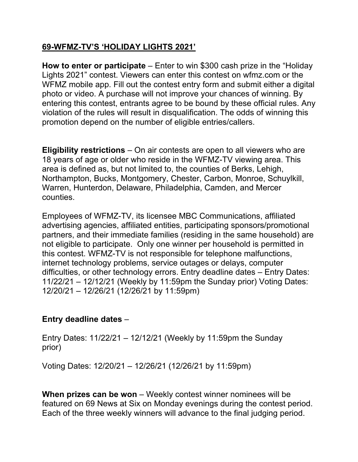## **69-WFMZ-TV'S 'HOLIDAY LIGHTS 2021'**

**How to enter or participate** – Enter to win \$300 cash prize in the "Holiday Lights 2021" contest. Viewers can enter this contest on wfmz.com or the WFMZ mobile app. Fill out the contest entry form and submit either a digital photo or video. A purchase will not improve your chances of winning. By entering this contest, entrants agree to be bound by these official rules. Any violation of the rules will result in disqualification. The odds of winning this promotion depend on the number of eligible entries/callers.

**Eligibility restrictions** – On air contests are open to all viewers who are 18 years of age or older who reside in the WFMZ-TV viewing area. This area is defined as, but not limited to, the counties of Berks, Lehigh, Northampton, Bucks, Montgomery, Chester, Carbon, Monroe, Schuylkill, Warren, Hunterdon, Delaware, Philadelphia, Camden, and Mercer counties.

Employees of WFMZ-TV, its licensee MBC Communications, affiliated advertising agencies, affiliated entities, participating sponsors/promotional partners, and their immediate families (residing in the same household) are not eligible to participate. Only one winner per household is permitted in this contest. WFMZ-TV is not responsible for telephone malfunctions, internet technology problems, service outages or delays, computer difficulties, or other technology errors. Entry deadline dates – Entry Dates: 11/22/21 – 12/12/21 (Weekly by 11:59pm the Sunday prior) Voting Dates: 12/20/21 – 12/26/21 (12/26/21 by 11:59pm)

## **Entry deadline dates** –

Entry Dates: 11/22/21 – 12/12/21 (Weekly by 11:59pm the Sunday prior)

Voting Dates: 12/20/21 – 12/26/21 (12/26/21 by 11:59pm)

**When prizes can be won** – Weekly contest winner nominees will be featured on 69 News at Six on Monday evenings during the contest period. Each of the three weekly winners will advance to the final judging period.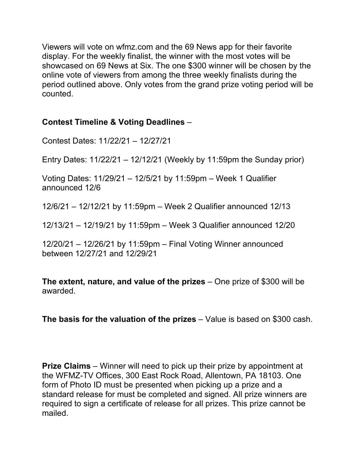Viewers will vote on wfmz.com and the 69 News app for their favorite display. For the weekly finalist, the winner with the most votes will be showcased on 69 News at Six. The one \$300 winner will be chosen by the online vote of viewers from among the three weekly finalists during the period outlined above. Only votes from the grand prize voting period will be counted.

## **Contest Timeline & Voting Deadlines** –

Contest Dates: 11/22/21 – 12/27/21

Entry Dates: 11/22/21 – 12/12/21 (Weekly by 11:59pm the Sunday prior)

Voting Dates: 11/29/21 – 12/5/21 by 11:59pm – Week 1 Qualifier announced 12/6

12/6/21 – 12/12/21 by 11:59pm – Week 2 Qualifier announced 12/13

12/13/21 – 12/19/21 by 11:59pm – Week 3 Qualifier announced 12/20

12/20/21 – 12/26/21 by 11:59pm – Final Voting Winner announced between 12/27/21 and 12/29/21

**The extent, nature, and value of the prizes** – One prize of \$300 will be awarded.

**The basis for the valuation of the prizes** – Value is based on \$300 cash.

**Prize Claims** – Winner will need to pick up their prize by appointment at the WFMZ-TV Offices, 300 East Rock Road, Allentown, PA 18103. One form of Photo ID must be presented when picking up a prize and a standard release for must be completed and signed. All prize winners are required to sign a certificate of release for all prizes. This prize cannot be mailed.